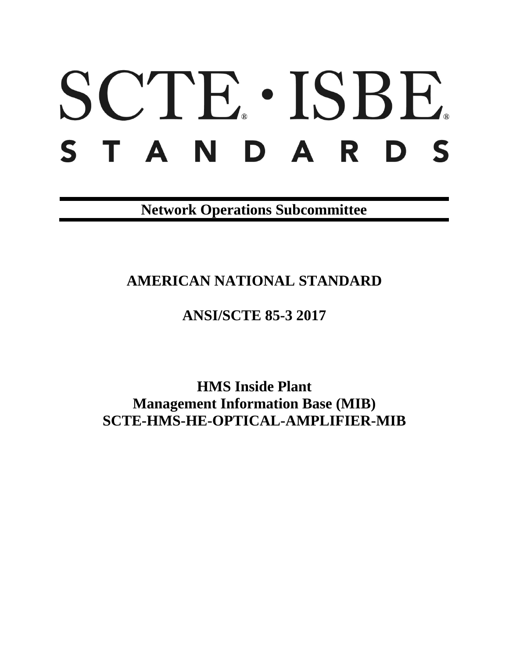# SCTE · ISBE. S T A N D A R D S

**Network Operations Subcommittee**

## **AMERICAN NATIONAL STANDARD**

## **ANSI/SCTE 85-3 2017**

**HMS Inside Plant Management Information Base (MIB) SCTE-HMS-HE-OPTICAL-AMPLIFIER-MIB**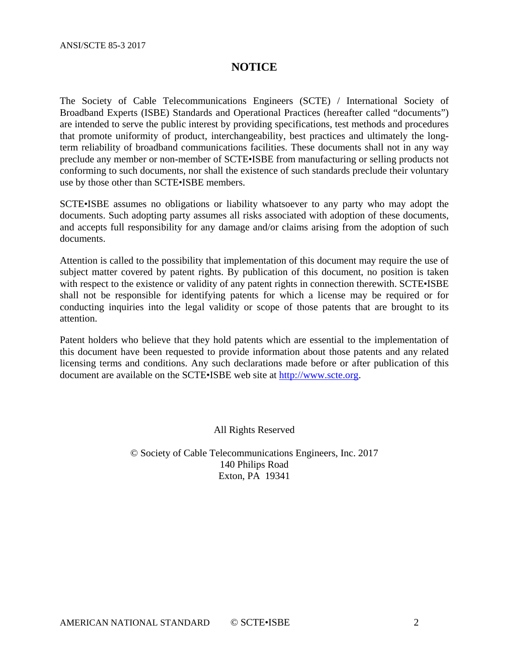#### **NOTICE**

The Society of Cable Telecommunications Engineers (SCTE) / International Society of Broadband Experts (ISBE) Standards and Operational Practices (hereafter called "documents") are intended to serve the public interest by providing specifications, test methods and procedures that promote uniformity of product, interchangeability, best practices and ultimately the longterm reliability of broadband communications facilities. These documents shall not in any way preclude any member or non-member of SCTE•ISBE from manufacturing or selling products not conforming to such documents, nor shall the existence of such standards preclude their voluntary use by those other than SCTE•ISBE members.

SCTE•ISBE assumes no obligations or liability whatsoever to any party who may adopt the documents. Such adopting party assumes all risks associated with adoption of these documents, and accepts full responsibility for any damage and/or claims arising from the adoption of such documents.

Attention is called to the possibility that implementation of this document may require the use of subject matter covered by patent rights. By publication of this document, no position is taken with respect to the existence or validity of any patent rights in connection therewith. SCTE•ISBE shall not be responsible for identifying patents for which a license may be required or for conducting inquiries into the legal validity or scope of those patents that are brought to its attention.

Patent holders who believe that they hold patents which are essential to the implementation of this document have been requested to provide information about those patents and any related licensing terms and conditions. Any such declarations made before or after publication of this document are available on the SCTE•ISBE web site at [http://www.scte.org.](http://www.scte.org/)

All Rights Reserved

© Society of Cable Telecommunications Engineers, Inc. 2017 140 Philips Road Exton, PA 19341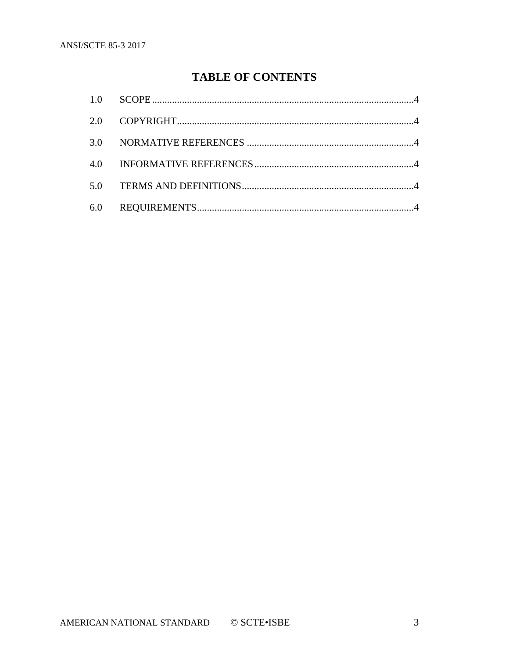### **TABLE OF CONTENTS**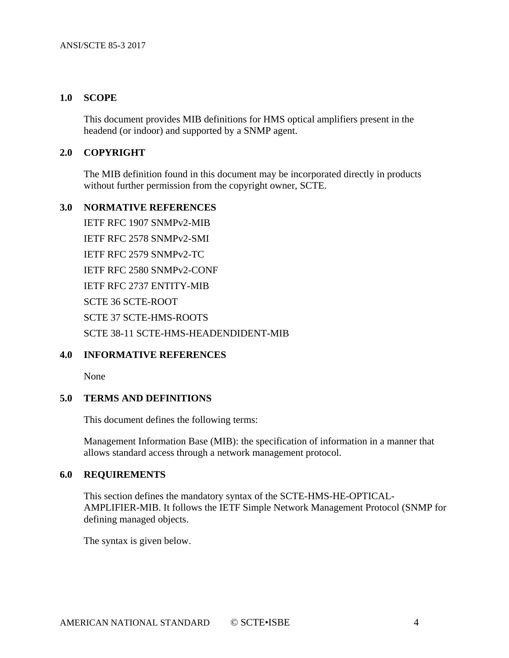#### <span id="page-3-0"></span>**1.0 SCOPE**

This document provides MIB definitions for HMS optical amplifiers present in the headend (or indoor) and supported by a SNMP agent.

#### <span id="page-3-1"></span>**2.0 COPYRIGHT**

The MIB definition found in this document may be incorporated directly in products without further permission from the copyright owner, SCTE.

#### <span id="page-3-2"></span>**3.0 NORMATIVE REFERENCES**

IETF RFC 1907 SNMPv2-MIB IETF RFC 2578 SNMPv2-SMI IETF RFC 2579 SNMPv2-TC IETF RFC 2580 SNMPv2-CONF IETF RFC 2737 ENTITY-MIB SCTE 36 SCTE-ROOT SCTE 37 SCTE-HMS-ROOTS SCTE 38-11 SCTE-HMS-HEADENDIDENT-MIB

#### <span id="page-3-3"></span>**4.0 INFORMATIVE REFERENCES**

None

#### <span id="page-3-4"></span>**5.0 TERMS AND DEFINITIONS**

This document defines the following terms:

Management Information Base (MIB): the specification of information in a manner that allows standard access through a network management protocol.

#### <span id="page-3-5"></span>**6.0 REQUIREMENTS**

This section defines the mandatory syntax of the SCTE-HMS-HE-OPTICAL-AMPLIFIER-MIB. It follows the IETF Simple Network Management Protocol (SNMP for defining managed objects.

The syntax is given below.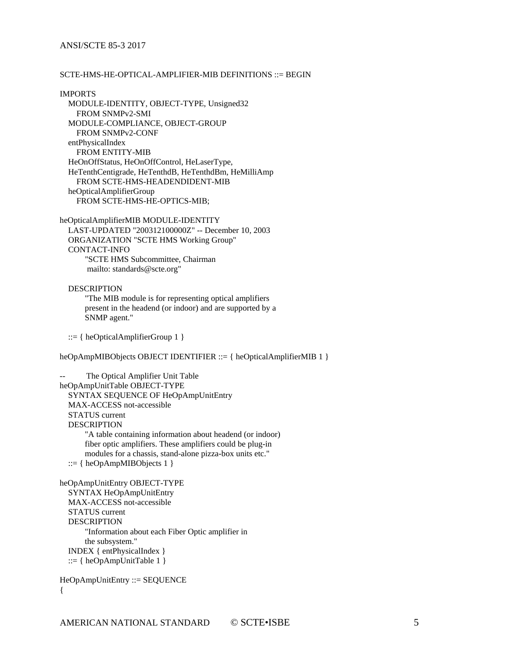#### SCTE-HMS-HE-OPTICAL-AMPLIFIER-MIB DEFINITIONS ::= BEGIN

IMPORTS MODULE-IDENTITY, OBJECT-TYPE, Unsigned32 FROM SNMPv2-SMI MODULE-COMPLIANCE, OBJECT-GROUP FROM SNMPv2-CONF entPhysicalIndex FROM ENTITY-MIB HeOnOffStatus, HeOnOffControl, HeLaserType, HeTenthCentigrade, HeTenthdB, HeTenthdBm, HeMilliAmp FROM SCTE-HMS-HEADENDIDENT-MIB heOpticalAmplifierGroup FROM SCTE-HMS-HE-OPTICS-MIB;

heOpticalAmplifierMIB MODULE-IDENTITY LAST-UPDATED "200312100000Z" -- December 10, 2003 ORGANIZATION "SCTE HMS Working Group" CONTACT-INFO "SCTE HMS Subcommittee, Chairman mailto: standards@scte.org"

 DESCRIPTION "The MIB module is for representing optical amplifiers present in the headend (or indoor) and are supported by a SNMP agent."

 $::= {heOpticalAmplifierGroup 1}$ 

heOpAmpMIBObjects OBJECT IDENTIFIER ::= { heOpticalAmplifierMIB 1 }

The Optical Amplifier Unit Table heOpAmpUnitTable OBJECT-TYPE SYNTAX SEQUENCE OF HeOpAmpUnitEntry MAX-ACCESS not-accessible STATUS current DESCRIPTION "A table containing information about headend (or indoor) fiber optic amplifiers. These amplifiers could be plug-in modules for a chassis, stand-alone pizza-box units etc." ::=  $\{heOpAmpMIBObjects 1\}$ heOpAmpUnitEntry OBJECT-TYPE

 SYNTAX HeOpAmpUnitEntry MAX-ACCESS not-accessible STATUS current DESCRIPTION "Information about each Fiber Optic amplifier in the subsystem." INDEX { entPhysicalIndex } ::=  $\{heOpAmpUnitTable 1\}$ 

```
HeOpAmpUnitEntry ::= SEQUENCE
{
```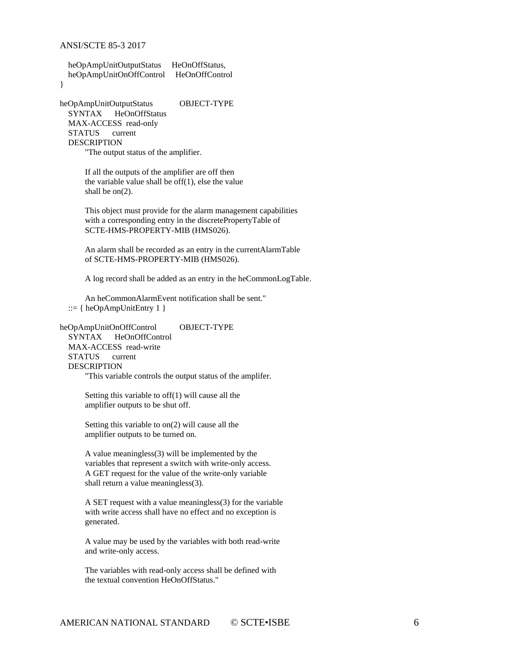```
 heOpAmpUnitOutputStatus HeOnOffStatus,
 heOpAmpUnitOnOffControl HeOnOffControl
```
}

heOpAmpUnitOutputStatus OBJECT-TYPE SYNTAX HeOnOffStatus MAX-ACCESS read-only STATUS current DESCRIPTION

"The output status of the amplifier.

 If all the outputs of the amplifier are off then the variable value shall be off $(1)$ , else the value shall be on(2).

 This object must provide for the alarm management capabilities with a corresponding entry in the discretePropertyTable of SCTE-HMS-PROPERTY-MIB (HMS026).

 An alarm shall be recorded as an entry in the currentAlarmTable of SCTE-HMS-PROPERTY-MIB (HMS026).

A log record shall be added as an entry in the heCommonLogTable.

 An heCommonAlarmEvent notification shall be sent."  $::= {heOpAmpUnitEntry 1}$ 

heOpAmpUnitOnOffControl OBJECT-TYPE SYNTAX HeOnOffControl MAX-ACCESS read-write STATUS current DESCRIPTION "This variable controls the output status of the amplifer.

> Setting this variable to off(1) will cause all the amplifier outputs to be shut off.

> Setting this variable to on(2) will cause all the amplifier outputs to be turned on.

 A value meaningless(3) will be implemented by the variables that represent a switch with write-only access. A GET request for the value of the write-only variable shall return a value meaningless(3).

 A SET request with a value meaningless(3) for the variable with write access shall have no effect and no exception is generated.

 A value may be used by the variables with both read-write and write-only access.

 The variables with read-only access shall be defined with the textual convention HeOnOffStatus."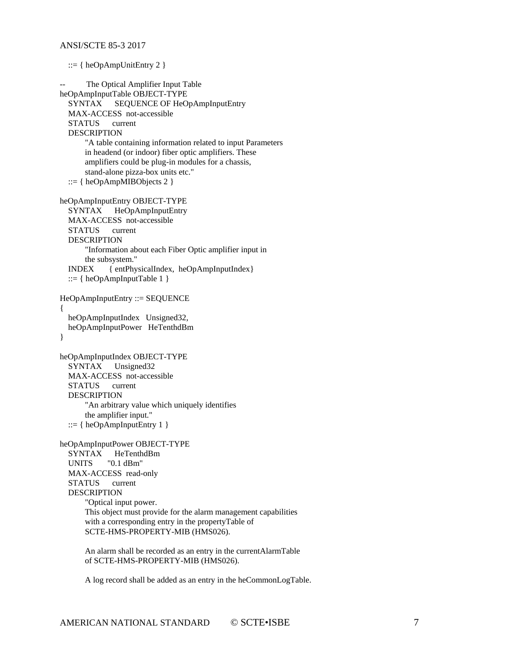```
 ::= {heOpAmpUnitEntry 2 }The Optical Amplifier Input Table
heOpAmpInputTable OBJECT-TYPE
   SYNTAX SEQUENCE OF HeOpAmpInputEntry
   MAX-ACCESS not-accessible
   STATUS current
   DESCRIPTION
       "A table containing information related to input Parameters
       in headend (or indoor) fiber optic amplifiers. These 
       amplifiers could be plug-in modules for a chassis, 
       stand-alone pizza-box units etc."
  ::= { heOpAmpMIBObjects 2 }
heOpAmpInputEntry OBJECT-TYPE
   SYNTAX HeOpAmpInputEntry
   MAX-ACCESS not-accessible
   STATUS current
  DESCRIPTION
        "Information about each Fiber Optic amplifier input in 
       the subsystem."
   INDEX { entPhysicalIndex, heOpAmpInputIndex}
  ::= \{heOpAmpInputTable 1\}HeOpAmpInputEntry ::= SEQUENCE
{
   heOpAmpInputIndex Unsigned32, 
   heOpAmpInputPower HeTenthdBm 
}
heOpAmpInputIndex OBJECT-TYPE
   SYNTAX Unsigned32
   MAX-ACCESS not-accessible
   STATUS current
   DESCRIPTION
       "An arbitrary value which uniquely identifies 
       the amplifier input."
  ::= \{heOpAmpInputEntry 1\}heOpAmpInputPower OBJECT-TYPE
   SYNTAX HeTenthdBm
   UNITS "0.1 dBm"
   MAX-ACCESS read-only
   STATUS current
   DESCRIPTION
       "Optical input power.
       This object must provide for the alarm management capabilities
       with a corresponding entry in the propertyTable of
       SCTE-HMS-PROPERTY-MIB (HMS026).
       An alarm shall be recorded as an entry in the currentAlarmTable
       of SCTE-HMS-PROPERTY-MIB (HMS026).
```
A log record shall be added as an entry in the heCommonLogTable.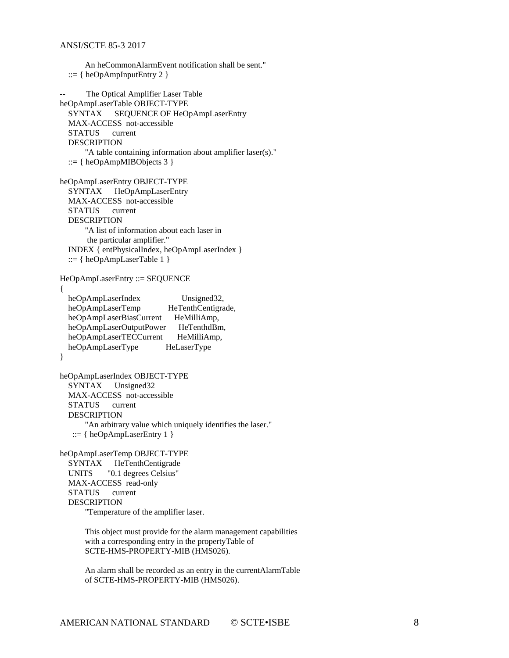```
 An heCommonAlarmEvent notification shall be sent."
::= \{heOpAmpInputEntry\ 2\}
```

```
-- The Optical Amplifier Laser Table
heOpAmpLaserTable OBJECT-TYPE
   SYNTAX SEQUENCE OF HeOpAmpLaserEntry
   MAX-ACCESS not-accessible
   STATUS current
   DESCRIPTION
       "A table containing information about amplifier laser(s)."
   ::= \{ \text{heOpAmpMIBObjects } 3 \}heOpAmpLaserEntry OBJECT-TYPE
   SYNTAX HeOpAmpLaserEntry
   MAX-ACCESS not-accessible
   STATUS current
   DESCRIPTION
       "A list of information about each laser in
       the particular amplifier."
   INDEX { entPhysicalIndex, heOpAmpLaserIndex }
   ::= { heOpAmpLaserTable 1 }
HeOpAmpLaserEntry ::= SEQUENCE
{
  heOpAmpLaserIndex Unsigned32,
  heOpAmpLaserTemp HeTenthCentigrade,
  heOpAmpLaserBiasCurrent HeMilliAmp,
  heOpAmpLaserOutputPower HeTenthdBm,
  heOpAmpLaserTECCurrent HeMilliAmp,
   heOpAmpLaserType HeLaserType
}
heOpAmpLaserIndex OBJECT-TYPE
   SYNTAX Unsigned32
   MAX-ACCESS not-accessible
   STATUS current
   DESCRIPTION
       "An arbitrary value which uniquely identifies the laser."
    ::= { heOpAmpLaserEntry 1 }
heOpAmpLaserTemp OBJECT-TYPE
   SYNTAX HeTenthCentigrade 
   UNITS "0.1 degrees Celsius"
   MAX-ACCESS read-only
   STATUS current
   DESCRIPTION
```
"Temperature of the amplifier laser.

 This object must provide for the alarm management capabilities with a corresponding entry in the propertyTable of SCTE-HMS-PROPERTY-MIB (HMS026).

 An alarm shall be recorded as an entry in the currentAlarmTable of SCTE-HMS-PROPERTY-MIB (HMS026).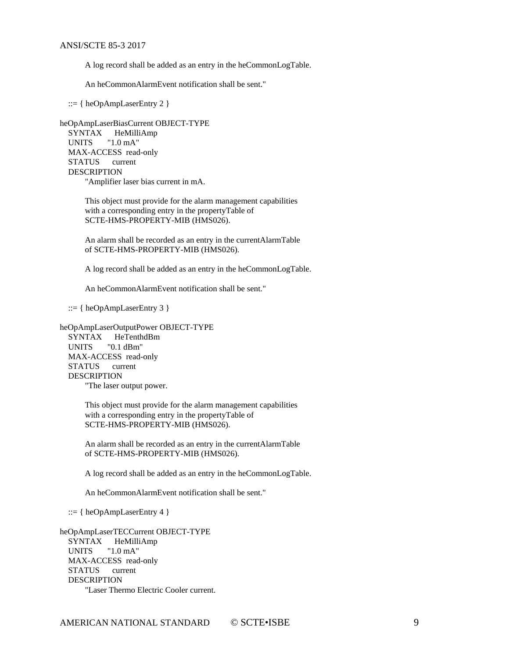A log record shall be added as an entry in the heCommonLogTable.

An heCommonAlarmEvent notification shall be sent."

 $::= {heOpAmpLaserEntry 2 }$ 

heOpAmpLaserBiasCurrent OBJECT-TYPE SYNTAX HeMilliAmp UNITS "1.0 mA" MAX-ACCESS read-only STATUS current DESCRIPTION "Amplifier laser bias current in mA.

> This object must provide for the alarm management capabilities with a corresponding entry in the propertyTable of SCTE-HMS-PROPERTY-MIB (HMS026).

> An alarm shall be recorded as an entry in the currentAlarmTable of SCTE-HMS-PROPERTY-MIB (HMS026).

A log record shall be added as an entry in the heCommonLogTable.

An heCommonAlarmEvent notification shall be sent."

 $::= { \n the OpAmpLaserEntry 3 }$ 

heOpAmpLaserOutputPower OBJECT-TYPE SYNTAX HeTenthdBm UNITS "0.1 dBm" MAX-ACCESS read-only STATUS current DESCRIPTION

"The laser output power.

 This object must provide for the alarm management capabilities with a corresponding entry in the propertyTable of SCTE-HMS-PROPERTY-MIB (HMS026).

 An alarm shall be recorded as an entry in the currentAlarmTable of SCTE-HMS-PROPERTY-MIB (HMS026).

A log record shall be added as an entry in the heCommonLogTable.

An heCommonAlarmEvent notification shall be sent."

::=  $\{heOpAmpLaserEntry 4\}$ 

heOpAmpLaserTECCurrent OBJECT-TYPE SYNTAX HeMilliAmp UNITS "1.0 mA" MAX-ACCESS read-only STATUS current DESCRIPTION "Laser Thermo Electric Cooler current.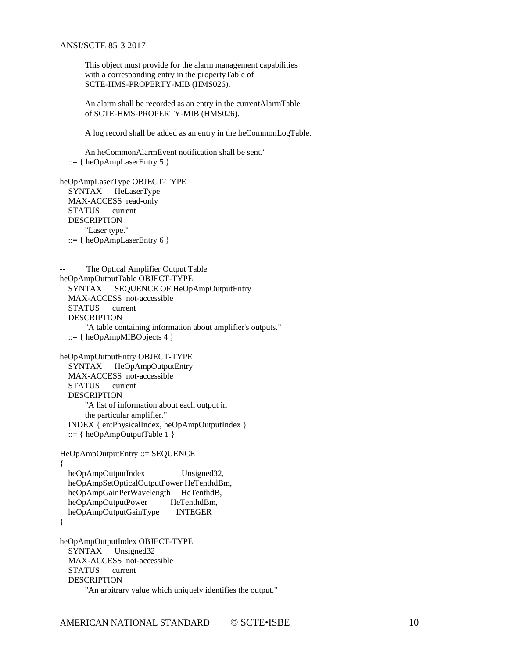This object must provide for the alarm management capabilities with a corresponding entry in the propertyTable of SCTE-HMS-PROPERTY-MIB (HMS026).

 An alarm shall be recorded as an entry in the currentAlarmTable of SCTE-HMS-PROPERTY-MIB (HMS026).

A log record shall be added as an entry in the heCommonLogTable.

 An heCommonAlarmEvent notification shall be sent." ::=  $\{heOpAmpLaserEntry 5\}$ 

```
heOpAmpLaserType OBJECT-TYPE
  SYNTAX HeLaserType
   MAX-ACCESS read-only
   STATUS current
   DESCRIPTION
       "Laser type."
  ::= \{heOpAmpLaserEntry 6\}
```

```
-- The Optical Amplifier Output Table
heOpAmpOutputTable OBJECT-TYPE
  SYNTAX SEQUENCE OF HeOpAmpOutputEntry
   MAX-ACCESS not-accessible
   STATUS current
  DESCRIPTION
       "A table containing information about amplifier's outputs."
  ::= \{heOpAmpMIBObjects 4\}heOpAmpOutputEntry OBJECT-TYPE
   SYNTAX HeOpAmpOutputEntry
   MAX-ACCESS not-accessible
   STATUS current
   DESCRIPTION
       "A list of information about each output in 
       the particular amplifier."
   INDEX { entPhysicalIndex, heOpAmpOutputIndex }
  ::= { heOpAmpOutputTable 1 }
HeOpAmpOutputEntry ::= SEQUENCE
{
  heOpAmpOutputIndex Unsigned32,
   heOpAmpSetOpticalOutputPower HeTenthdBm,
  heOpAmpGainPerWavelength HeTenthdB,
```
heOpAmpOutputPower HeTenthdBm, heOpAmpOutputGainType INTEGER

}

heOpAmpOutputIndex OBJECT-TYPE SYNTAX Unsigned32 MAX-ACCESS not-accessible STATUS current DESCRIPTION "An arbitrary value which uniquely identifies the output."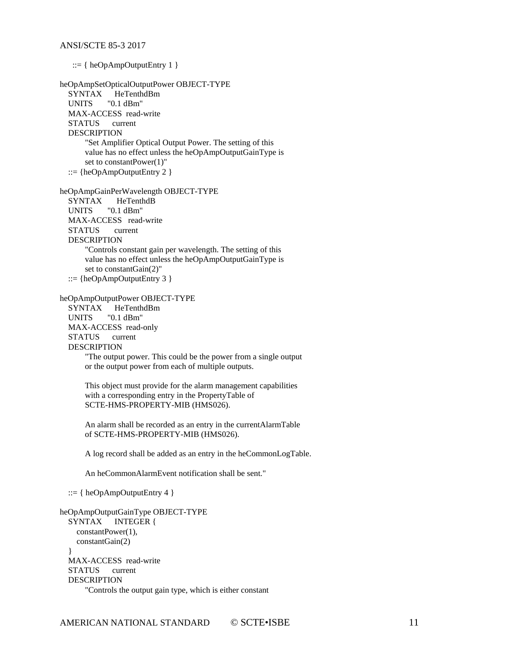::= { heOpAmpOutputEntry 1 } heOpAmpSetOpticalOutputPower OBJECT-TYPE SYNTAX HeTenthdBm UNITS "0.1 dBm" MAX-ACCESS read-write STATUS current DESCRIPTION "Set Amplifier Optical Output Power. The setting of this value has no effect unless the heOpAmpOutputGainType is set to constantPower(1)" ::=  ${heOpAmpOutputEntry 2}$ heOpAmpGainPerWavelength OBJECT-TYPE<br>SYNTAX HeTenthdB HeTenthdB UNITS "0.1 dBm" MAX-ACCESS read-write STATUS current DESCRIPTION "Controls constant gain per wavelength. The setting of this value has no effect unless the heOpAmpOutputGainType is set to constantGain(2)" ::=  ${heOpAmpOutputEntry 3}$ heOpAmpOutputPower OBJECT-TYPE HeTenthdBm UNITS "0.1 dBm" MAX-ACCESS read-only<br>STATUS current **STATUS**  DESCRIPTION "The output power. This could be the power from a single output or the output power from each of multiple outputs. This object must provide for the alarm management capabilities with a corresponding entry in the PropertyTable of SCTE-HMS-PROPERTY-MIB (HMS026). An alarm shall be recorded as an entry in the currentAlarmTable of SCTE-HMS-PROPERTY-MIB (HMS026). A log record shall be added as an entry in the heCommonLogTable. An heCommonAlarmEvent notification shall be sent." ::=  $\{heOpAmpOutputEntry 4\}$ heOpAmpOutputGainType OBJECT-TYPE

```
 SYNTAX INTEGER {
     constantPower(1),
     constantGain(2)
 }
  MAX-ACCESS read-write
  STATUS current
  DESCRIPTION
       "Controls the output gain type, which is either constant
```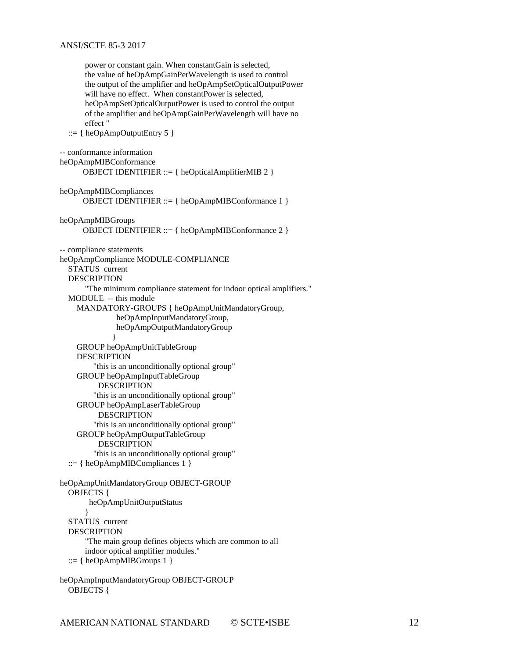power or constant gain. When constantGain is selected, the value of heOpAmpGainPerWavelength is used to control the output of the amplifier and heOpAmpSetOpticalOutputPower will have no effect. When constantPower is selected, heOpAmpSetOpticalOutputPower is used to control the output of the amplifier and heOpAmpGainPerWavelength will have no effect " ::=  $\{heOpAmpOutputEntry 5\}$ -- conformance information heOpAmpMIBConformance OBJECT IDENTIFIER ::= { heOpticalAmplifierMIB 2 } heOpAmpMIBCompliances OBJECT IDENTIFIER ::= { heOpAmpMIBConformance 1 } heOpAmpMIBGroups OBJECT IDENTIFIER ::= { heOpAmpMIBConformance 2 } -- compliance statements heOpAmpCompliance MODULE-COMPLIANCE STATUS current DESCRIPTION "The minimum compliance statement for indoor optical amplifiers." MODULE -- this module MANDATORY-GROUPS { heOpAmpUnitMandatoryGroup, heOpAmpInputMandatoryGroup, heOpAmpOutputMandatoryGroup } GROUP heOpAmpUnitTableGroup DESCRIPTION "this is an unconditionally optional group" GROUP heOpAmpInputTableGroup DESCRIPTION "this is an unconditionally optional group" GROUP heOpAmpLaserTableGroup DESCRIPTION "this is an unconditionally optional group" GROUP heOpAmpOutputTableGroup **DESCRIPTION**  "this is an unconditionally optional group" ::=  $\{heOpAmpMIBCompliances 1\}$ heOpAmpUnitMandatoryGroup OBJECT-GROUP OBJECTS { heOpAmpUnitOutputStatus } STATUS current DESCRIPTION "The main group defines objects which are common to all indoor optical amplifier modules." ::=  $\{heOpAmpMIBGroups 1\}$ heOpAmpInputMandatoryGroup OBJECT-GROUP

```
AMERICAN NATIONAL STANDARD © SCTE•ISBE 12
```
OBJECTS {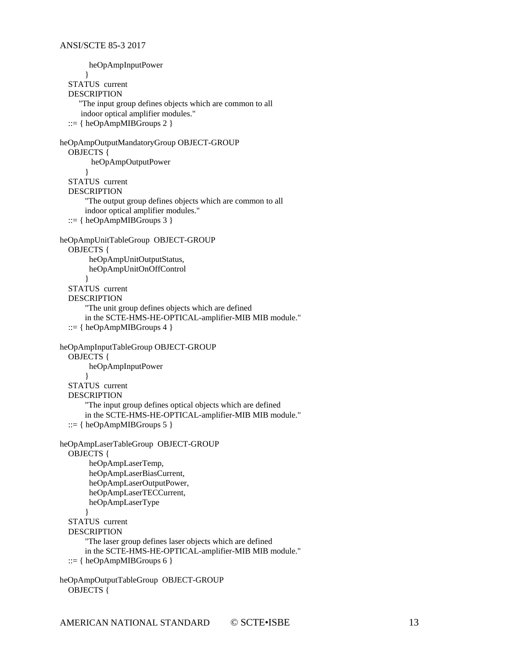```
 heOpAmpInputPower 
       }
   STATUS current
  DESCRIPTION
      "The input group defines objects which are common to all
      indoor optical amplifier modules."
  ::= \{heOpAmpMIBGroups 2\}heOpAmpOutputMandatoryGroup OBJECT-GROUP
   OBJECTS {
         heOpAmpOutputPower
       }
   STATUS current
   DESCRIPTION
       "The output group defines objects which are common to all
       indoor optical amplifier modules."
  ::= \{heOpAmpMIBGroups 3\}heOpAmpUnitTableGroup OBJECT-GROUP
   OBJECTS {
        heOpAmpUnitOutputStatus,
        heOpAmpUnitOnOffControl
       }
   STATUS current
   DESCRIPTION
       "The unit group defines objects which are defined
       in the SCTE-HMS-HE-OPTICAL-amplifier-MIB MIB module."
   ::= \{ \text{heOpAmpMIBGroups } 4 \}heOpAmpInputTableGroup OBJECT-GROUP
   OBJECTS {
        heOpAmpInputPower
       }
   STATUS current
   DESCRIPTION
       "The input group defines optical objects which are defined
       in the SCTE-HMS-HE-OPTICAL-amplifier-MIB MIB module."
  ::= \{heOpAmpMIBGroups 5\}heOpAmpLaserTableGroup OBJECT-GROUP
   OBJECTS {
        heOpAmpLaserTemp,
        heOpAmpLaserBiasCurrent,
        heOpAmpLaserOutputPower,
        heOpAmpLaserTECCurrent,
        heOpAmpLaserType
       } 
   STATUS current
   DESCRIPTION
       "The laser group defines laser objects which are defined
       in the SCTE-HMS-HE-OPTICAL-amplifier-MIB MIB module."
  ::= \{heOpAmpMIBGroups 6\}heOpAmpOutputTableGroup OBJECT-GROUP
```

```
 OBJECTS {
```